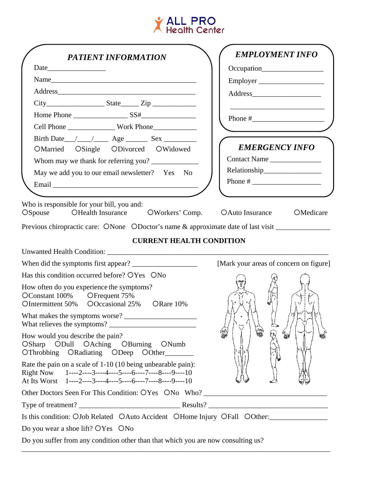

| <b>PATIENT INFORMATION</b>                                                                                                                                                           | <b>EMPLOYMENT INFO</b>                        |
|--------------------------------------------------------------------------------------------------------------------------------------------------------------------------------------|-----------------------------------------------|
|                                                                                                                                                                                      | Occupation                                    |
|                                                                                                                                                                                      | Employer                                      |
|                                                                                                                                                                                      |                                               |
| $City$ $State$ $Zip$ $Line$                                                                                                                                                          | <u> 1989 - Andrea Andrew Maria (h. 1989).</u> |
|                                                                                                                                                                                      |                                               |
|                                                                                                                                                                                      |                                               |
|                                                                                                                                                                                      |                                               |
| OMarried OSingle ODivorced OWidowed                                                                                                                                                  | <b>EMERGENCY INFO</b>                         |
| Whom may we thank for referring you?                                                                                                                                                 | Contact Name                                  |
| May we add you to our email newsletter? Yes No                                                                                                                                       |                                               |
|                                                                                                                                                                                      |                                               |
| Previous chiropractic care: ONone ODoctor's name & approximate date of last visit<br><b>CURRENT HEALTH CONDITION</b>                                                                 |                                               |
|                                                                                                                                                                                      |                                               |
|                                                                                                                                                                                      | [Mark your areas of concern on figure]        |
| Has this condition occurred before? OYes ONo                                                                                                                                         |                                               |
| How often do you experience the symptoms?<br>OConstant 100% OFrequent 75%<br>OIntermittent 50% OOccasional 25% ORare 10%                                                             |                                               |
|                                                                                                                                                                                      |                                               |
| How would you describe the pain?<br>OSharp ODull OAching OBurning ONumb<br>OThrobbing ORadiating ODeep OOther                                                                        | 徐<br>₩                                        |
| Rate the pain on a scale of 1-10 (10 being unbearable pain):<br>Right Now $1^{---2---3---4---5---6---7---8---9---10$<br>At Its Worst 1----2----3----4----5----6----7----8----9----10 |                                               |
|                                                                                                                                                                                      |                                               |
|                                                                                                                                                                                      |                                               |
| Is this condition: OJob Related OAuto Accident OHome Injury OFall OOther:                                                                                                            |                                               |
| Do you wear a shoe lift? OYes ONo                                                                                                                                                    |                                               |
| Do you suffer from any condition other than that which you are now consulting us?                                                                                                    |                                               |

\_\_\_\_\_\_\_\_\_\_\_\_\_\_\_\_\_\_\_\_\_\_\_\_\_\_\_\_\_\_\_\_\_\_\_\_\_\_\_\_\_\_\_\_\_\_\_\_\_\_\_\_\_\_\_\_\_\_\_\_\_\_\_\_\_\_\_\_\_\_\_\_\_\_\_\_\_\_\_\_\_\_\_\_\_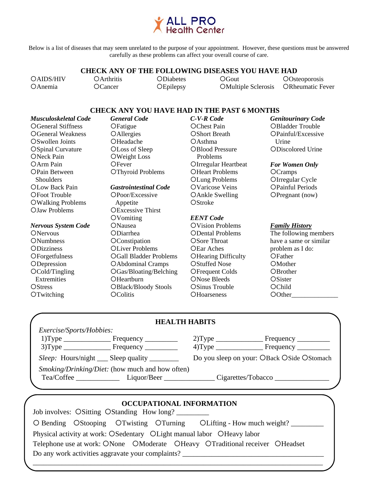

Below is a list of diseases that may seem unrelated to the purpose of your appointment. However, these questions must be answered carefully as these problems can affect your overall course of care.

### **CHECK ANY OF THE FOLLOWING DISEASES YOU HAVE HAD**

cAIDS /HIV  $O$ Anemia

cArthritis OCancer

**ODiabetes OEpilepsy** 

 $OGout$ OMultiple Sclerosis

**OOsteoporosis** ORheumatic Fever

### **CHECK ANY YOU HAVE HAD IN THE PAST 6 MONTHS**

*Musculoskeletal Code*  OGeneral Stiffness OGeneral Weakness OSwollen Joints OSpinal Curvature ONeck Pain  $OArm$  Pain OPain Between CThyroid Problems Shoulders OLow Back Pain cFoot Trouble cWalking Problems cJaw Problems

#### *Nervous System Code*

**ONervous ONumbness ODizziness OForgetfulness ODepression** OCold/Tingling **Extremities OStress OTwitching** 

*General Code*  OFatigue **OAllergies OHeadache** OLoss of Sleep OWeight Loss OFever

#### *Gastrointestinal Code*  cPoor/Excessive

 Appetite **OExcessive Thirst**  $OV$ omiting ONausea **ODiarrhea OConstipation OLiver Problems** OGall Bladder Problems cAbdominal Cramps cGas/Bloating/Belching **OHeartburn** OBlack/Bloody Stools **OColitis** 

*C-V-R Code*  OChest Pain **OShort Breath**  $OAsthma$ OBlood Pressure Problems cIrregular Heartbeat **OHeart Problems** OLung Problems OVaricose Veins cAnkle Swelling OStroke

#### *EENT Code*

cVision Problems **ODental Problems** OSore Throat OEar Aches **OHearing Difficulty** OStuffed Nose OF requent Colds ONose Bleeds OSinus Trouble **OHoarseness** 

#### OBladder Trouble OPainful/Excessive **Urine**

*Genitourinary Code*

cDiscolored Urine

#### *For Women Only*

**OCramps** OIrregular Cycle cPainful Periods OPregnant (now)

#### *Family History*

The following members have a same or similar problem as I do: **OFather** OMother **OBrother** OSister OChild O0ther

|                          |                                                        | <b>HEALTH HABITS</b> |                                            |
|--------------------------|--------------------------------------------------------|----------------------|--------------------------------------------|
| Exercise/Sports/Hobbies: |                                                        |                      |                                            |
|                          | $1) Type \_$ Frequency $\_$                            | $2)$ Type            |                                            |
|                          | $3) Type \_$ Frequency $\_$                            |                      |                                            |
|                          | <i>Sleep</i> : Hours/night Sleep quality               |                      | Do you sleep on your: OBack OSide OStomach |
|                          | <i>Smoking/Drinking/Diet:</i> (how much and how often) |                      |                                            |
|                          |                                                        |                      |                                            |
|                          |                                                        |                      |                                            |
|                          |                                                        |                      |                                            |

## **OCCUPATIONAL INFORMATION**

Job involves: OSitting OStanding How long? C Bending CStooping CTwisting CTurning CLifting - How much weight? Physical activity at work: OSedentary OLight manual labor OHeavy labor Telephone use at work: ONone CModerate CHeavy CTraditional receiver CHeadset Do any work activities aggravate your complaints? \_\_\_\_\_\_\_\_\_\_\_\_\_\_\_\_\_\_\_\_\_\_\_\_\_\_\_\_\_\_\_\_\_\_\_\_\_\_\_\_\_\_\_\_\_\_\_\_\_\_\_\_\_\_\_\_\_\_\_\_\_\_\_\_\_\_\_\_\_\_\_\_\_\_\_\_\_\_\_\_